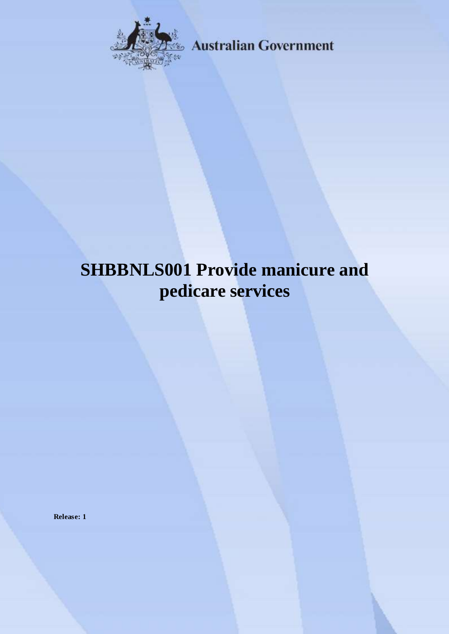

**Australian Government** 

# **SHBBNLS001 Provide manicure and pedicare services**

**Release: 1**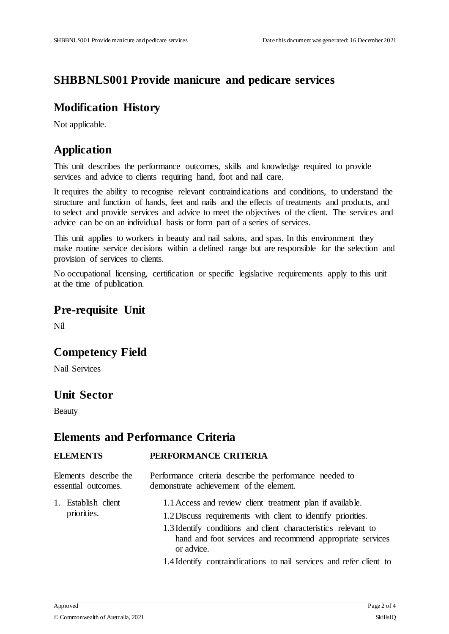## **SHBBNLS001 Provide manicure and pedicare services**

## **Modification History**

Not applicable.

## **Application**

This unit describes the performance outcomes, skills and knowledge required to provide services and advice to clients requiring hand, foot and nail care.

It requires the ability to recognise relevant contraindications and conditions, to understand the structure and function of hands, feet and nails and the effects of treatments and products, and to select and provide services and advice to meet the objectives of the client. The services and advice can be on an individual basis or form part of a series of services.

This unit applies to workers in beauty and nail salons, and spas. In this environment they make routine service decisions within a defined range but are responsible for the selection and provision of services to clients.

No occupational licensing, certification or specific legislative requirements apply to this unit at the time of publication.

### **Pre-requisite Unit**

Nil

## **Competency Field**

Nail Services

## **Unit Sector**

Beauty

### **Elements and Performance Criteria**

#### **ELEMENTS PERFORMANCE CRITERIA**

| Elements describe the              | Performance criteria describe the performance needed to                                                                                                                                                                                                                                                                                       |
|------------------------------------|-----------------------------------------------------------------------------------------------------------------------------------------------------------------------------------------------------------------------------------------------------------------------------------------------------------------------------------------------|
| essential outcomes.                | demonstrate achievement of the element.                                                                                                                                                                                                                                                                                                       |
| 1. Establish client<br>priorities. | 1.1 Access and review client treatment plan if available.<br>1.2 Discuss requirements with client to identify priorities.<br>1.3 Identify conditions and client characteristics relevant to<br>hand and foot services and recommend appropriate services<br>or advice.<br>1.4 Identify contraindications to nail services and refer client to |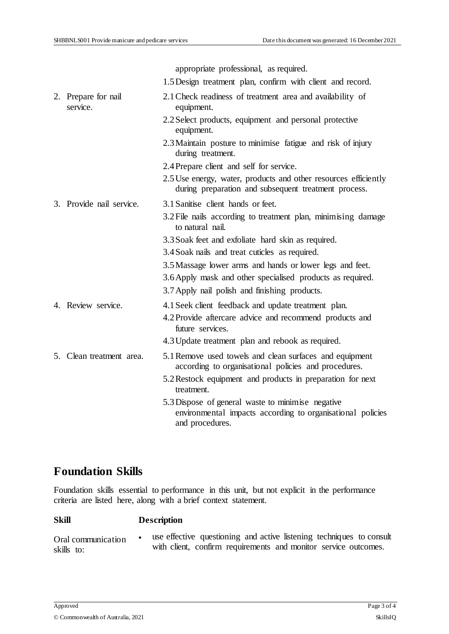|  |                                 | appropriate professional, as required.                                                                                             |
|--|---------------------------------|------------------------------------------------------------------------------------------------------------------------------------|
|  |                                 | 1.5 Design treatment plan, confirm with client and record.                                                                         |
|  | 2. Prepare for nail<br>service. | 2.1 Check readiness of treatment area and availability of<br>equipment.                                                            |
|  |                                 | 2.2 Select products, equipment and personal protective<br>equipment.                                                               |
|  |                                 | 2.3 Maintain posture to minimise fatigue and risk of injury<br>during treatment.                                                   |
|  |                                 | 2.4 Prepare client and self for service.                                                                                           |
|  |                                 | 2.5 Use energy, water, products and other resources efficiently<br>during preparation and subsequent treatment process.            |
|  | 3. Provide nail service.        | 3.1 Sanitise client hands or feet.                                                                                                 |
|  |                                 | 3.2 File nails according to treatment plan, minimising damage<br>to natural nail.                                                  |
|  |                                 | 3.3 Soak feet and exfoliate hard skin as required.                                                                                 |
|  |                                 | 3.4 Soak nails and treat cuticles as required.                                                                                     |
|  |                                 | 3.5 Massage lower arms and hands or lower legs and feet.                                                                           |
|  |                                 | 3.6 Apply mask and other specialised products as required.                                                                         |
|  |                                 | 3.7 Apply nail polish and finishing products.                                                                                      |
|  | 4. Review service.              | 4.1 Seek client feedback and update treatment plan.                                                                                |
|  |                                 | 4.2 Provide aftercare advice and recommend products and<br>future services.                                                        |
|  |                                 | 4.3 Update treatment plan and rebook as required.                                                                                  |
|  | 5. Clean treatment area.        | 5.1 Remove used towels and clean surfaces and equipment<br>according to organisational policies and procedures.                    |
|  |                                 | 5.2 Restock equipment and products in preparation for next<br>treatment.                                                           |
|  |                                 | 5.3 Dispose of general waste to minimise negative<br>environmental impacts according to organisational policies<br>and procedures. |

## **Foundation Skills**

Foundation skills essential to performance in this unit, but not explicit in the performance criteria are listed here, along with a brief context statement.

#### **Skill Description**

Oral communication skills to: use effective questioning and active listening techniques to consult with client, confirm requirements and monitor service outcomes.